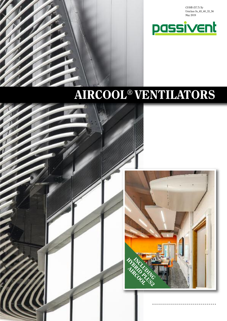CI/SfB (57.7) Xy Uniclass Ss\_65\_40\_33\_56 May 2019



# **AIRCOOL**- **VENTILATORS**

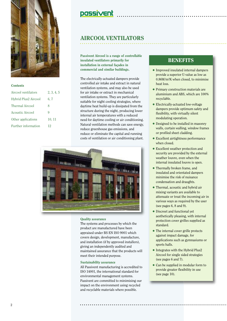

#### **Contents**

| Aircool ventilators        | 2, 3, 4, 5 |
|----------------------------|------------|
| Hybrid Plus2 Aircool       | 6, 7       |
| <b>Thermal Aircool</b>     | 8          |
| Acoustic Aircool           | q          |
| Other applications         | 10, 11     |
| <b>Further information</b> | 12         |



# **AIRCOOL VENTILATORS**

**Passivent Aircool is a range of controllable insulated ventilators primarily for installation in external façades in commercial and similar buildings.**

The electrically-actuated dampers provide controlled air intake and extract in natural ventilation systems, and may also be used for air intake or extract in mechanical ventilation systems. They are particularly suitable for night cooling strategies, where daytime heat build-up is dissipated from the structure during the night, producing lower internal air temperatures with a reduced need for daytime cooling or air conditioning. Natural ventilation methods can save energy, reduce greenhouse gas emissions, and reduce or eliminate the capital and running costs of ventilation or air conditioning plant.



#### **Quality assurance**

The systems and processes by which the product are manufactured have been appraised under BS EN ISO 9001 which covers design, development, manufacture, and installation (if by approved installers), giving an independently audited and maintained assurance that the products will meet their intended purpose.

#### **Sustainability assurance**

All Passivent manufacturing is accredited to ISO 14001, the international standard for environmental management systems. Passivent are committed to minimising our impact on the environment using recycled and recyclable materials where possible.

# **BENEFITS**

**. . . . . . . . . . . . . . . . . . . . . . . . . . . . . . . . . . . . . . . . . . . . . . . . . . . . . . .**

- Improved insulated internal dampers provide a superior U-value as low as 0.86W/m2 K when closed, to minimise heat loss.
- Primary construction materials are aluminium and ABS, which are 100% recyclable.
- Electrically-actuated low-voltage dampers provide optimum safety and flexibility, with virtually silent modulating operation.
- Designed to be installed in masonry walls, curtain walling, window frames or profiled sheet cladding.
- Excellent airtightness performance when closed.
- Excellent weather protection and security are provided by the external weather louvre, even when the internal insulated louvre is open.
- Thermally broken frame, and insulated and orientated dampers minimise the risk of nuisance condensation and draughts.
- Thermal, acoustic and hybrid air mixing variants are available to attenuate or treat the incoming air in various ways as required by the user (see pages 6, 8 and 9).
- Discreet and functional yet aesthetically pleasing, with internal protection cover grilles supplied as standard.
- The internal cover grille protects against impact damage, for applications such as gymnasiums or sports halls.
- Integrates with the Hybrid Plus2 Aircool for single sided strategies (see pages 6 and 7).
- Can be supplied in modular form to provide greater flexibility in use (see page 10).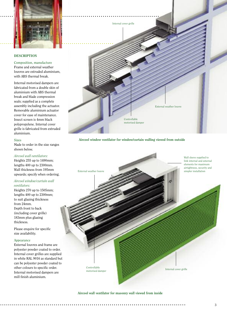

### **DESCRIPTION**

**Composition, manufacture** Frame and external weather louvres are extruded aluminium, with ABS thermal break.

Internal motorised dampers are fabricated from a double skin of aluminium with ABS thermal break and blade compression seals; supplied as a complete assembly including the actuator. Removable aluminium actuator cover for ease of maintenance. Insect screen is 4mm black polypropylene. Internal cover grille is fabricated from extruded aluminium.

#### **Sizes**

Made to order in the size ranges shown below.

#### *Aircool wall ventilators:*

Heights 255 up to 1490mm; lengths 400 up to 2300mm. Wall thickness from 195mm upwards; specify when ordering.

#### *Aircool window/curtain wall ventilators:*

Heights 270 up to 1505mm; lengths 400 up to 2300mm; to suit glazing thickness from 24mm. Depth front to back (including cover grille) 183mm plus glazing thickness.

Please enquire for specific size availability.

#### **Appearance**

External louvres and frame are polyester powder coated to order. Internal cover grilles are supplied in white RAL 9016 as standard but can be polyester powder coated to other colours to specific order. Internal motorised dampers are mill finish aluminium.



**Aircool window ventilator for window/curtain walling viewed from outside**



**Aircool wall ventilator for masonry wall viewed from inside**

**. . . . . . . . . . . . . . . . . . . . . . . . . . . . . . . . . . . . . . . . . . . . . . . . . . . . . . . . . . . . . . . . . . . . . . . . . . . . . . . . . . . . . . . . . . . . .**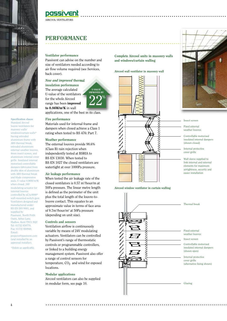

**Specification clause** Standard Aircool louvre ventilators for masonry walls/ windows/curtain walls\* having extruded aluminium frame with ABS thermal break, extruded aluminium external weather louvres, 4mm insect screen, and aluminium internal cover grille. Insulated internal motorised controllable dampers fabricated from double skin of aluminium with ABS thermal break and blade compression seals. U-value 0.86W/m²K when closed. 24V modulating actuator for internal louvres controlled by eC/ic8000\* wall-mounted switch-gear. Ventilators designed and manufactured under BS EN ISO 9001, and supplied by Passivent, North Frith Oasts, Ashes Lane, Hadlow, Kent TN11 9QU Tel: 01732 850770, Fax: 01732 850949, Email:

projects@passivent.com (and installed by an approved installer). *\*Delete as applicable.*



# **PERFORMANCE**

#### **Ventilator performance**

Passivent can advise on the number and size of ventilators needed according to air flow volume required (see Services, back cover).

> **U-VALUE IMPROVED BY**

22

 $\sqrt{0}/$ 

# *New and improved* **thermal**

**insulation performance** The average calculated U-value of the ventilators for the whole Aircool range has been **improved to 0.86W/m2 K** in wall applications, one of the best in its class.

#### **Fire performance**

Materials used for internal frame and dampers when closed achieve a Class 1 rating when tested to BS 476: Part 7.

#### **Weather performance**

The external louvres provide 98.6% (Class B) rain rejection when independently tested at BSRIA to BS EN 13030. When tested to BS EN 1027 the closed ventilators are watertight at over 1000Pa pressure.

#### **Air leakage performance**

When tested the air leakage rate of the closed ventilators is 0.57 m3 /hour/m at 50Pa pressure. The linear metre length is defined as the perimeter of the unit plus the total length of the louvre-tolouvre contact. This equates to an approximate value in terms of face area of 9.7m3 /hour/m2 at 50Pa pressure (depending on unit size).

#### **Controls and sensors**

Ventilation airflow is continuously variable by means of 24V modulating actuators. Ventilators can be controlled by Passivent's range of thermostatic controls or programmable controllers, or linked to a building energy management system. Passivent also offer a range of control sensors for temperature,  $CO<sub>2</sub>$  and wind for exposed locations.

#### **Modular applications**

Aircool ventilators can also be supplied in modular form, see page 10.

**Complete Aircool units in masonry walls and windows/curtain walling**

**. . . . . . . . . . . . . . . . . . . . . . . . . . . . . . . . . . . . . . . . . . . . . . . . . . . . . . . . . . . . . . . . . . . . . . . .**

**Aircool wall ventilator in masonry wall**



**Aircool window ventilator in curtain walling**

**. . . . . . . . . . . . . . . . . . . . . . . . . . . . . . . . . . . . . . . . . . . . . . . . . . . . . . . . . . . . . . . . . . . . . . . . . . . . . . . . . . . . . . . . . . .**





#### Insect screen

- Fixed external weather louvres
- Controllable motorised insulated internal dampers (shown closed)

Internal protective cover grille

Wall sleeve supplied to link internal and external elements for maximum airtightness, security and easier installation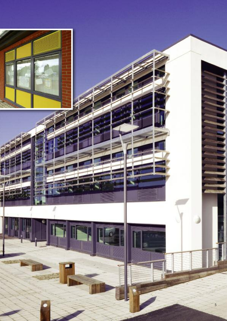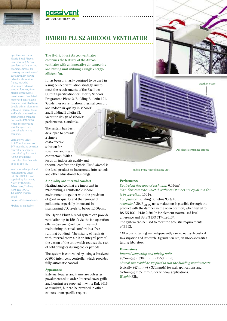



# <u> Albert Holland (Maria Maria Maria Maria Maria Maria Maria Maria Maria Maria Maria Maria Maria Maria Maria Maria Maria Maria Maria Maria Maria Maria Maria Maria Maria Maria Maria Maria Maria Maria Maria Maria Maria Maria </u> **HYBRID PLUS2 AIRCOOL VENTILATOR**

**Specification clause** Hybrid Plus2 Aircool, incorporating Aircool ventilator with a mixing chamber. Aircool for masonry walls/windows/ curtain walls\* having extruded aluminium frame, extruded aluminium external weather louvres, 4mm black polypropylene insect screen. Insulated motorised controllable dampers fabricated from double skin of aluminium with ABS thermal break and blade compression seals. Mixing chamber finished to RAL 9016 white, incorporating variable speed fan, controllable mixing dampers.

Ventilator U-value 0.86W/m²K when closed. 24V modulating actuator control for dampers, controlled by Passivent *i*C8000 intelligent controller. Fan flow rate of up to 150 l/s.

Ventilators designed and manufactured under BS EN ISO 9001, and supplied by Passivent, North Frith Oasts, Ashes Lane, Hadlow, Kent TN11 9QU. Tel: 01732 850770, email: projects@passivent.com.

\*Delete as applicable.

**The Hybrid Plus2 Aircool ventilator combines the features of the Aircool ventilator with an innovative air tempering and mixing unit utilising a single energyefficient fan.**

It has been primarily designed to be used in a single-sided ventilation strategy and to meet the requirements of the Facilities Output Specification for Priority Schools Programme Phase 2, Building Bulletin 101, 'Guidelines on ventilation, thermal comfort and indoor air quality in schools' and Building Bulletin 93, 'Acoustic design of schools: performance standards'.

The system has been developed to provide a simple cost-effective solution for specifiers and main contractors. With a focus on indoor air quality and thermal comfort, the Hybrid Plus2 Aircool is the ideal product to incorporate into schools and other educational buildings.

#### **Air quality and thermal comfort**

Heating and cooling are important in maintaining a comfortable indoor environment, together with the provision of good air quality and the removal of pollutants, especially important in maintaining  $CO<sub>2</sub>$  levels to below 1,500ppm.

The Hybrid Plus2 Aircool system can provide ventilation up to 150 l/s via the fan operation offering an energy-efficient means of maintaining thermal comfort in a 'free running building'. The mixing of fresh air with internal room air is an integral part of the design of the unit which reduces the risk of cold draughts during cooler periods.

The system is controlled by using a Passivent *i*C8000 intelligent controller which provides fully automatic control.

#### **Appearance**

External louvres and frame are polyester powder coated to order. Internal cover grille and housing are supplied in white RAL 9016 as standard, but can be provided in other colours upon specific request.

wall sleeve containing damper

weather louvre

Hybrid Plus2 Aircool mixing unit

**. . . . . . . . . . . . . . . . . . . . . . . . . . . . . . . . . . . . . . . . . . . . . . . . . . . . . . . . . . . . . . . . . . . . . . .**

#### **Performance**

*Equivalent free area of each unit:* 0.054m2 .

*Max. flow rate when inlet & outlet resistances are equal and fan is in operation:* 150 l/s.

*Compliance:* Building Bulletins 93 & 101.

*Acoustic:* A 30dB<sub>Dn,e,w</sub> noise reduction is possible through the product with the damper in the open position, when tested to BS EN ISO 10140-2:2010\* for element-normalised level difference and BS EN ISO 717-1:2013\*.

The system can be used to meet the acoustic requirements of BB93.

\*All acoustic testing was independently carried out by Acoustical Investigation and Research Organisation Ltd, an UKAS accredited testing laboratory.

#### **Dimensions**

*Internal tempering and mixing unit:* 967mm(w) x 330mm(h) x 1253mm(d).

*Aircool size would be supplied to suit the building requirements:* typically 842mm(w) x 320mm(h) for wall applications and 873mm(w) x 351mm(h) for window applications. *Weight:* 32kg.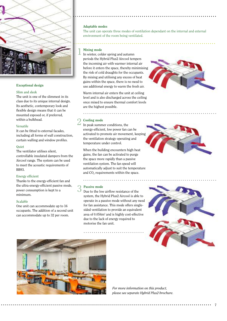

#### **Exceptional design**

#### **Slim and sleek**

The unit is one of the slimmest in its class due to its unique internal design. Its aesthetic, contemporary look and flexible design means that it can be mounted exposed or, if preferred, within a bulkhead.

#### **Versatile**

It can be fitted to external facades, including all forms of wall construction, curtain walling and window profiles.

#### **Quiet**

The ventilator utilises silent, controllable insulated dampers from the Aircool range. The system can be used to meet the acoustic requirements of BB93.

#### **Energy efficient**

Thanks to the energy-efficient fan and the ultra-energy-efficient passive mode, power consumption is kept to a minimum.

#### **Scalable**

One unit can accommodate up to 16 occupants. The addition of a second unit can accommodate up to 32 per room.

#### **Adaptable modes**

The unit can operate three modes of ventilation dependant on the internal and external environment of the room being ventilated.

**. . . . . . . . . . . . . . . . . . . . . . . . . . . . . . . . . . . . . . . . . . . . . . . . . . . . . . . . . . . . . . . . . .**

**. . . . . . . . . . . . . . . . . . . . . . . . . . . . . . . . . . . . . . . . . . . . . . . . . . . . . . . . . . . . . . . . . .**

#### **Mixing mode**

In winter, colder spring and autumn periods the Hybrid Plus2 Aircool tempers the incoming air with warmer internal air before it enters the space, thereby minimising the risk of cold draughts for the occupants. By mixing and utilising any excess of heat gains within the space, there is no need to use additional energy to warm the fresh air. 1

Warm internal air enters the unit at ceiling level and is also discharged across the ceiling once mixed to ensure thermal comfort levels are the highest possible.



## **Cooling mode** 2

In peak summer conditions, the energy-efficient, low power fan can be activated to promote air movement, keeping the ventilation strategy operating and temperature under control.

When the building encounters high heat gains, the fan can be activated to purge the space more rapidly than a passive ventilation system. The fan speed will automatically adjust to suit the temperature and  $CO<sub>2</sub>$  requirements within the space.



## **Passive mode** 3

Due to the low airflow resistance of the system, the Hybrid Plus2 Aircool is able to operate in a passive mode without any need for fan assistance. This mode offers singlesided ventilation to provide an equivalent area of 0.054m<sup>2</sup> and is highly cost-effective due to the lack of energy required to motorise the fan unit.

**. . . . . . . . . . . . . . . . . . . . . . . . . . . . . .**





*For more information on this product, please see separate Hybrid Plus2 brochure.*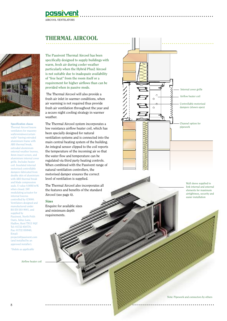

# **. . . . . . . . . . . . . . . . . . . . . . . . . . . . . . . . . . . . . . . . . . . . . . . . . . . . . . . . . . . . . . . . . . . . THERMAL AIRCOOL**



**Specification clause** Thermal Aircool louvre ventilators for masonry walls/windows/curtain walls\* having extruded aluminium frame with ABS thermal break, extruded aluminium external weather louvres, 4mm insect screen, and aluminium internal cover grille. Includes heater coil. Insulated internal motorised controllable dampers fabricated from double skin of aluminium with ABS thermal break and blade compression seals. U-value 0.86W/m²K when closed. 24V modulating actuator for internal louvres controlled by *i*C8000. Ventilators designed and manufactured under BS EN ISO 9001, and supplied by Passivent, North Frith Oasts, Ashes Lane, Hadlow, Kent TN11 9QU Tel: 01732 850770, Fax: 01732 850949, Email: projects@passivent.com (and installed by an approved installer).

*\*Delete as applicable*

**The Passivent Thermal Aircool has been specifically designed to supply buildings with warm, fresh air during cooler weather particularly when the Hybrid Plus2 Aircool is not suitable due to inadequate availability of "free heat" from the room itself or a requirement for higher airflows than can be provided when in passive mode.**

The Thermal Aircool will also provide a fresh air inlet in warmer conditions, when air warming is not required thus provide fresh air ventilation throughout the year and a secure night cooling strategy in warmer weather.

The Thermal Aircool system incorporates a low resistance airflow heater coil, which has been specially designed for natural ventilation systems and is connected into the main central heating system of the building. An integral sensor clipped to the coil reports the temperature of the incoming air so that the water flow and temperature can be regulated via third party heating controls. When combined with the Passivent range of natural ventilation controllers, the motorised damper ensures the correct level of ventilation is supplied.

The Thermal Aircool also incorporates all the features and benefits of the standard Aircool (see page 4).

#### **Sizes**

Enquire for available sizes and minimum depth requirements.

Internal cover grille ö Airflow heater coil  $\circ$ Controllable motorised dampers (shown open)  $\circ$ Channel option for pipework

**. . . . . . . . . . . . . . . . . . . . . . . . . . . . . . . . . . . . . . . . . . . . . . . . . . . . . . . . . . . . . . . . . .**

Wall sleeve supplied to link internal and external elements for maximum

> airtightness, security and easier installation

Airflow heater coil

Note: Pipework and connectors by others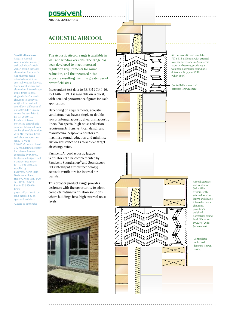

**ACOUSTIC AIRCOOL**

#### **Specification clause**

Acoustic Aircool ventilators for masonry walls/windows/curtain walls\* having extruded aluminium frame with ABS thermal break, extruded aluminium external weather louvres, 4mm insect screen, and aluminium internal cover grille. Units to have single/double\* acoustic chevrons to achieve a weighted normalised sound level difference of up to 22/26dB\* Dn,e,w across the ventilator to BS EN 20140-10. Insulated internal motorised controllable dampers fabricated from double skin of aluminium with ABS thermal break and blade compression seals. U-value 0.86W/m²K when closed. 24V modulating actuator for internal louvres controlled by *i*C8000. Ventilators designed and manufactured under BS EN ISO 9001, and supplied by Passivent, North Frith Oasts, Ashes Lane, Hadlow, Kent TN11 9QU Tel: 01732 850770, Fax: 01732 850949. Email: projects@passivent.com (and installed by an approved installer). *\*Delete as applicable*

**The Acoustic Aircool range is available in wall and window versions. The range has been developed to meet increased regulation requirements for sound reduction, and the increased noise exposure resulting from the greater use of brownfield sites.**

Independent test data to BS EN 20140-10, ISO 140-10:1991 is available on request, with detailed performance figures for each application.

Depending on requirements, acoustic ventilators may have a single or double row of internal acoustic chevrons, acoustic liners. For special high noise reduction requirements, Passivent can design and manufacture bespoke ventilators to maximise sound reduction and minimise airflow resistance so as to achieve target air change rates.

Passivent Aircool acoustic façade ventilators can be complemented by Passivent Soundscoop<sup>®</sup> and Soundscoop *i*AT (intelligent airflow technology) acoustic ventilators for internal air transfer.

This broader product range provides designers with the opportunity to adopt complete natural ventilation solutions where buildings have high external noise levels.





Aircool acoustic wall ventilator 797 x 315 x 390mm, with external weather louvre and single internal acoustic chevrons, providing a weighted normalised sound level difference Dn,e,w of 22dB

Controllable motorised dampers (shown open)



9 **. . . . . . . . . . . . . . . . . . . . . . . . . . . . . . . . . . . . . . . . . . . . . . . . . . . . . . . . . . . . . . . . . . . . . . . . . . . . . . . . . .**

Aircool acoustic wall ventilator 797 x 315 x 570mm, with external weather louvre and double internal acoustic chevrons, providing a weighted normalised sound level difference Dn,e,w of 26dB (when open)

Controllable motorised dampers (shown closed)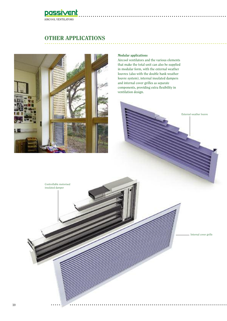

# **. . . . . . . . . . . . . . . . . . . . . . . . . . . . . . . . . . . . . . . . . . . . . . . . . . . . . . . . . . . . . . . . . . . . . . . . . . . . . . . . . . . . . . . . . . . OTHER APPLICATIONS**



#### **Modular applications**

**Aircool ventilators and the various elements that make the total unit can also be supplied in modular form, with the external weather louvres (also with the double bank weather louvre system), internal insulated dampers and internal cover grilles as separate components, providing extra flexibility in ventilation design.**

External weather louvre

**. . . . . . . . . . . . . . . . . . . . . . . . . . . . . . . . . . . . . . . . . . . . . . . . . . . . . . . . . . . . . . . . . . . . . . . . .**

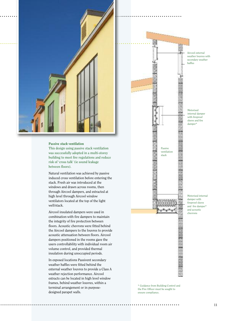

#### **Passive stack ventilation**

**This design using passive stack ventilation was successfully adopted in a multi-storey building to meet fire regulations and reduce risk of 'cross talk' (ie sound leakage between floors).**

Natural ventilation was achieved by passive induced cross ventilation before entering the stack. Fresh air was introduced at the windows and drawn across rooms, then through Aircool dampers, and extracted at high level through Aircool window ventilators located at the top of the light well/stack.

Aircool insulated dampers were used in combination with fire dampers to maintain the integrity of fire protection between floors. Acoustic chevrons were fitted behind the Aircool dampers to the louvres to provide acoustic attenuation between floors. Aircool dampers positioned in the rooms gave the users controllability with individual room air volume control, and provided thermal insulation during unoccupied periods.

In exposed locations Passivent secondary weather baffles were fitted behind the external weather louvres to provide a Class A weather rejection performance. Aircool extracts can be located in high level window frames, behind weather louvres, within a terminal arrangement or in purposedesigned parapet walls.

**. . . . . . . . . . . . . . . . . . . . . . . . . . . . . . . . . . . . . . . . . . . . . . . . . . . . . . . . . . . . . . . . . . . . . . . . . . . . . . . . . . . . . . . . . .**

プラクラ Aircool external weather louvres with secondary weather baffles Motorised internal damper with fireproof sleeve and fire damper\* Passive ventilation stack Motorised internal damper with fireproof sleeve and fire damper\* and acoustic chevrons

\* Guidance from Building Control and the Fire Officer must be sought to ensure compliance.